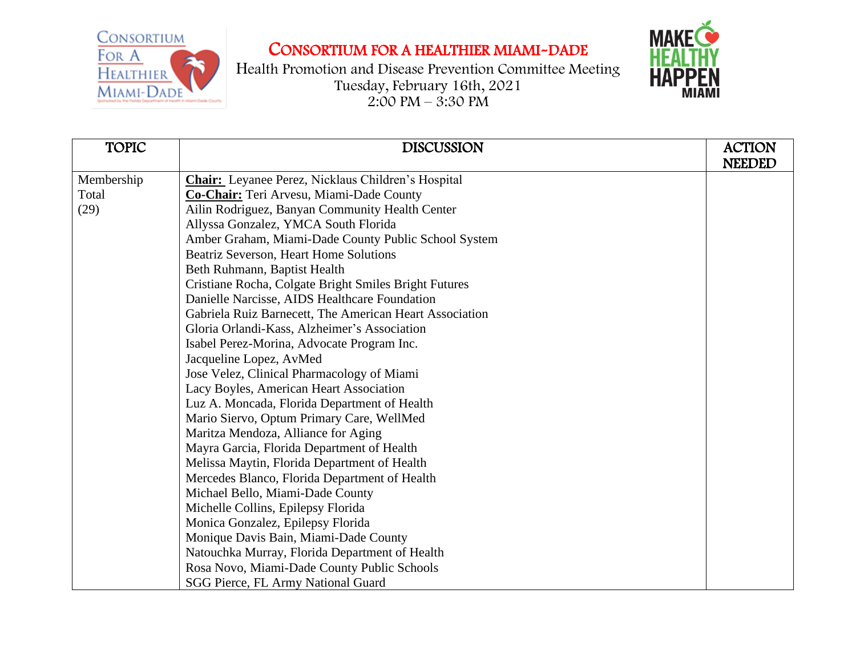

Health Promotion and Disease Prevention Committee Meeting Tuesday, February 16th, 2021  $2:00 \text{ PM} - 3:30 \text{ PM}$ 



| <b>TOPIC</b> | <b>DISCUSSION</b>                                         | <b>ACTION</b> |
|--------------|-----------------------------------------------------------|---------------|
|              |                                                           | <b>NEEDED</b> |
| Membership   | <b>Chair:</b> Leyanee Perez, Nicklaus Children's Hospital |               |
| Total        | Co-Chair: Teri Arvesu, Miami-Dade County                  |               |
| (29)         | Ailin Rodriguez, Banyan Community Health Center           |               |
|              | Allyssa Gonzalez, YMCA South Florida                      |               |
|              | Amber Graham, Miami-Dade County Public School System      |               |
|              | Beatriz Severson, Heart Home Solutions                    |               |
|              | Beth Ruhmann, Baptist Health                              |               |
|              | Cristiane Rocha, Colgate Bright Smiles Bright Futures     |               |
|              | Danielle Narcisse, AIDS Healthcare Foundation             |               |
|              | Gabriela Ruiz Barnecett, The American Heart Association   |               |
|              | Gloria Orlandi-Kass, Alzheimer's Association              |               |
|              | Isabel Perez-Morina, Advocate Program Inc.                |               |
|              | Jacqueline Lopez, AvMed                                   |               |
|              | Jose Velez, Clinical Pharmacology of Miami                |               |
|              | Lacy Boyles, American Heart Association                   |               |
|              | Luz A. Moncada, Florida Department of Health              |               |
|              | Mario Siervo, Optum Primary Care, WellMed                 |               |
|              | Maritza Mendoza, Alliance for Aging                       |               |
|              | Mayra Garcia, Florida Department of Health                |               |
|              | Melissa Maytin, Florida Department of Health              |               |
|              | Mercedes Blanco, Florida Department of Health             |               |
|              | Michael Bello, Miami-Dade County                          |               |
|              | Michelle Collins, Epilepsy Florida                        |               |
|              | Monica Gonzalez, Epilepsy Florida                         |               |
|              | Monique Davis Bain, Miami-Dade County                     |               |
|              | Natouchka Murray, Florida Department of Health            |               |
|              | Rosa Novo, Miami-Dade County Public Schools               |               |
|              | SGG Pierce, FL Army National Guard                        |               |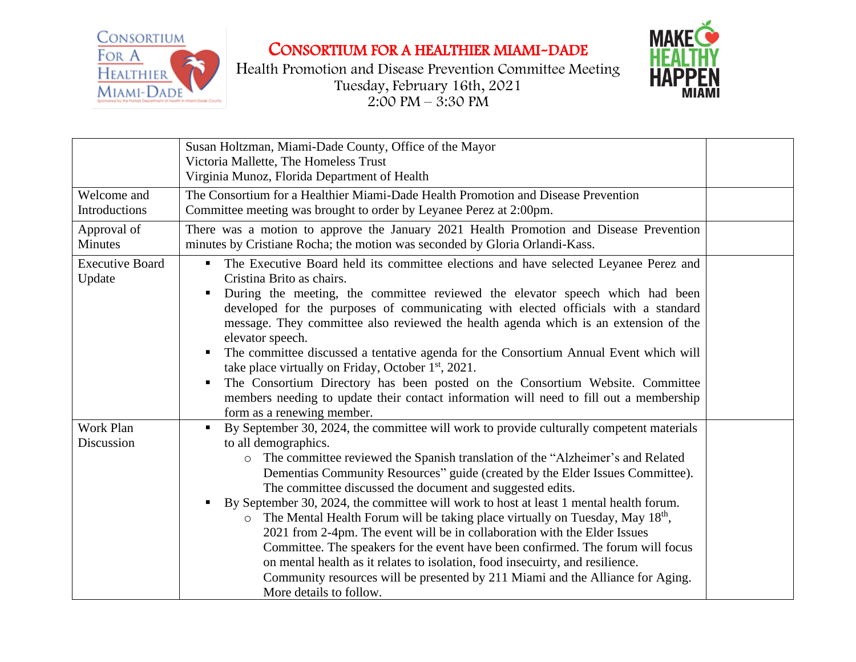





|                                  | Susan Holtzman, Miami-Dade County, Office of the Mayor<br>Victoria Mallette, The Homeless Trust<br>Virginia Munoz, Florida Department of Health                                                                                                                                                                                                                                                                                                                                                                                                                                                                                                                                                                                                                                                                                                                                                                                    |  |
|----------------------------------|------------------------------------------------------------------------------------------------------------------------------------------------------------------------------------------------------------------------------------------------------------------------------------------------------------------------------------------------------------------------------------------------------------------------------------------------------------------------------------------------------------------------------------------------------------------------------------------------------------------------------------------------------------------------------------------------------------------------------------------------------------------------------------------------------------------------------------------------------------------------------------------------------------------------------------|--|
| Welcome and<br>Introductions     | The Consortium for a Healthier Miami-Dade Health Promotion and Disease Prevention<br>Committee meeting was brought to order by Leyanee Perez at 2:00pm.                                                                                                                                                                                                                                                                                                                                                                                                                                                                                                                                                                                                                                                                                                                                                                            |  |
| Approval of<br>Minutes           | There was a motion to approve the January 2021 Health Promotion and Disease Prevention<br>minutes by Cristiane Rocha; the motion was seconded by Gloria Orlandi-Kass.                                                                                                                                                                                                                                                                                                                                                                                                                                                                                                                                                                                                                                                                                                                                                              |  |
| <b>Executive Board</b><br>Update | The Executive Board held its committee elections and have selected Leyanee Perez and<br>$\blacksquare$<br>Cristina Brito as chairs.<br>During the meeting, the committee reviewed the elevator speech which had been<br>developed for the purposes of communicating with elected officials with a standard<br>message. They committee also reviewed the health agenda which is an extension of the<br>elevator speech.<br>The committee discussed a tentative agenda for the Consortium Annual Event which will<br>take place virtually on Friday, October 1 <sup>st</sup> , 2021.<br>The Consortium Directory has been posted on the Consortium Website. Committee<br>members needing to update their contact information will need to fill out a membership<br>form as a renewing member.                                                                                                                                        |  |
| Work Plan<br>Discussion          | By September 30, 2024, the committee will work to provide culturally competent materials<br>$\blacksquare$<br>to all demographics.<br>The committee reviewed the Spanish translation of the "Alzheimer's and Related<br>$\circ$<br>Dementias Community Resources" guide (created by the Elder Issues Committee).<br>The committee discussed the document and suggested edits.<br>By September 30, 2024, the committee will work to host at least 1 mental health forum.<br>The Mental Health Forum will be taking place virtually on Tuesday, May 18 <sup>th</sup> ,<br>2021 from 2-4pm. The event will be in collaboration with the Elder Issues<br>Committee. The speakers for the event have been confirmed. The forum will focus<br>on mental health as it relates to isolation, food insecuirty, and resilience.<br>Community resources will be presented by 211 Miami and the Alliance for Aging.<br>More details to follow. |  |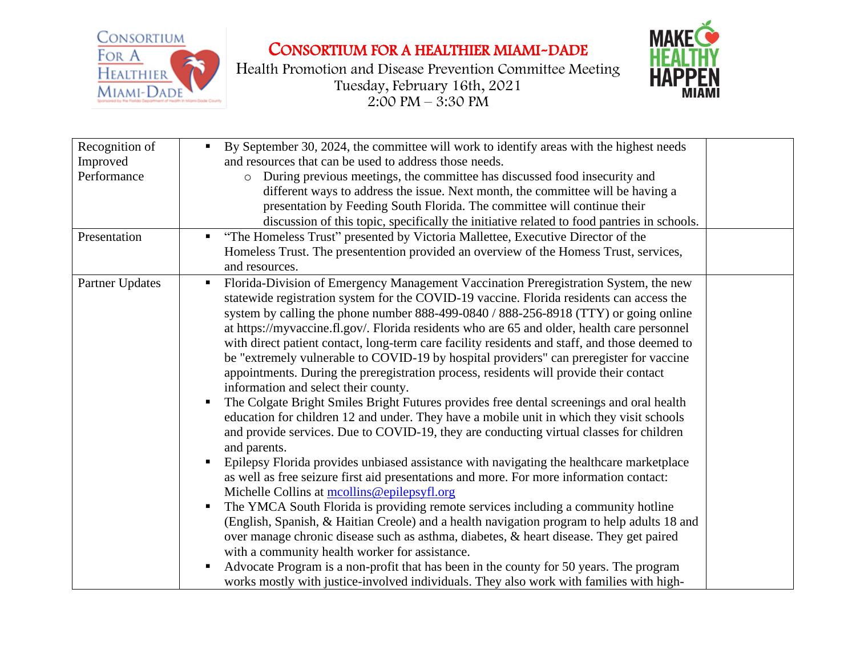

Health Promotion and Disease Prevention Committee Meeting Tuesday, February 16th, 2021  $2:00 \text{ PM} - 3:30 \text{ PM}$ 



| Recognition of  | By September 30, 2024, the committee will work to identify areas with the highest needs<br>$\blacksquare$ |  |
|-----------------|-----------------------------------------------------------------------------------------------------------|--|
| Improved        | and resources that can be used to address those needs.                                                    |  |
| Performance     | During previous meetings, the committee has discussed food insecurity and<br>$\circ$                      |  |
|                 | different ways to address the issue. Next month, the committee will be having a                           |  |
|                 | presentation by Feeding South Florida. The committee will continue their                                  |  |
|                 | discussion of this topic, specifically the initiative related to food pantries in schools.                |  |
| Presentation    | "The Homeless Trust" presented by Victoria Mallettee, Executive Director of the                           |  |
|                 | Homeless Trust. The presentention provided an overview of the Homess Trust, services,                     |  |
|                 | and resources.                                                                                            |  |
| Partner Updates | Florida-Division of Emergency Management Vaccination Preregistration System, the new                      |  |
|                 | statewide registration system for the COVID-19 vaccine. Florida residents can access the                  |  |
|                 | system by calling the phone number 888-499-0840 / 888-256-8918 (TTY) or going online                      |  |
|                 | at https://myvaccine.fl.gov/. Florida residents who are 65 and older, health care personnel               |  |
|                 | with direct patient contact, long-term care facility residents and staff, and those deemed to             |  |
|                 | be "extremely vulnerable to COVID-19 by hospital providers" can preregister for vaccine                   |  |
|                 | appointments. During the preregistration process, residents will provide their contact                    |  |
|                 | information and select their county.                                                                      |  |
|                 | The Colgate Bright Smiles Bright Futures provides free dental screenings and oral health                  |  |
|                 | education for children 12 and under. They have a mobile unit in which they visit schools                  |  |
|                 | and provide services. Due to COVID-19, they are conducting virtual classes for children                   |  |
|                 | and parents.                                                                                              |  |
|                 | Epilepsy Florida provides unbiased assistance with navigating the healthcare marketplace                  |  |
|                 | as well as free seizure first aid presentations and more. For more information contact:                   |  |
|                 | Michelle Collins at mcollins@epilepsyfl.org                                                               |  |
|                 | The YMCA South Florida is providing remote services including a community hotline                         |  |
|                 | (English, Spanish, & Haitian Creole) and a health navigation program to help adults 18 and                |  |
|                 | over manage chronic disease such as asthma, diabetes, & heart disease. They get paired                    |  |
|                 | with a community health worker for assistance.                                                            |  |
|                 | Advocate Program is a non-profit that has been in the county for 50 years. The program                    |  |
|                 | works mostly with justice-involved individuals. They also work with families with high-                   |  |